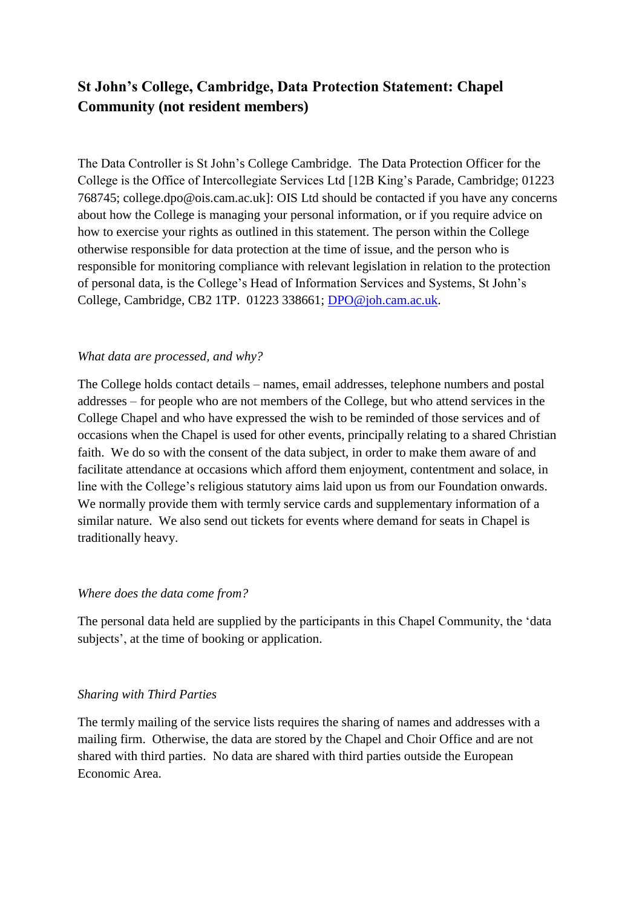# **St John's College, Cambridge, Data Protection Statement: Chapel Community (not resident members)**

The Data Controller is St John's College Cambridge. The Data Protection Officer for the College is the Office of Intercollegiate Services Ltd [12B King's Parade, Cambridge; 01223 768745; college.dpo@ois.cam.ac.uk]: OIS Ltd should be contacted if you have any concerns about how the College is managing your personal information, or if you require advice on how to exercise your rights as outlined in this statement. The person within the College otherwise responsible for data protection at the time of issue, and the person who is responsible for monitoring compliance with relevant legislation in relation to the protection of personal data, is the College's Head of Information Services and Systems, St John's College, Cambridge, CB2 1TP. 01223 338661; [DPO@joh.cam.ac.uk.](mailto:DPO@joh.cam.ac.uk)

## *What data are processed, and why?*

The College holds contact details – names, email addresses, telephone numbers and postal addresses – for people who are not members of the College, but who attend services in the College Chapel and who have expressed the wish to be reminded of those services and of occasions when the Chapel is used for other events, principally relating to a shared Christian faith. We do so with the consent of the data subject, in order to make them aware of and facilitate attendance at occasions which afford them enjoyment, contentment and solace, in line with the College's religious statutory aims laid upon us from our Foundation onwards. We normally provide them with termly service cards and supplementary information of a similar nature. We also send out tickets for events where demand for seats in Chapel is traditionally heavy.

#### *Where does the data come from?*

The personal data held are supplied by the participants in this Chapel Community, the 'data subjects', at the time of booking or application.

#### *Sharing with Third Parties*

The termly mailing of the service lists requires the sharing of names and addresses with a mailing firm. Otherwise, the data are stored by the Chapel and Choir Office and are not shared with third parties. No data are shared with third parties outside the European Economic Area.